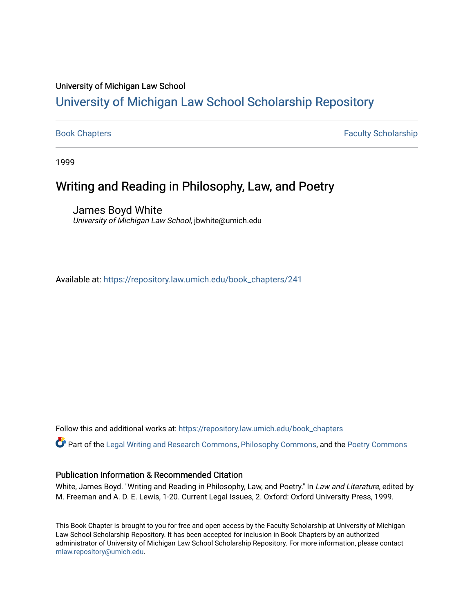### University of Michigan Law School

# [University of Michigan Law School Scholarship Repository](https://repository.law.umich.edu/)

[Book Chapters](https://repository.law.umich.edu/book_chapters) Faculty Scholarship

1999

## Writing and Reading in Philosophy, Law, and Poetry

James Boyd White

University of Michigan Law School, jbwhite@umich.edu

Available at: [https://repository.law.umich.edu/book\\_chapters/241](https://repository.law.umich.edu/book_chapters/241) 

Follow this and additional works at: [https://repository.law.umich.edu/book\\_chapters](https://repository.law.umich.edu/book_chapters?utm_source=repository.law.umich.edu%2Fbook_chapters%2F241&utm_medium=PDF&utm_campaign=PDFCoverPages)

Part of the [Legal Writing and Research Commons,](http://network.bepress.com/hgg/discipline/614?utm_source=repository.law.umich.edu%2Fbook_chapters%2F241&utm_medium=PDF&utm_campaign=PDFCoverPages) [Philosophy Commons,](http://network.bepress.com/hgg/discipline/525?utm_source=repository.law.umich.edu%2Fbook_chapters%2F241&utm_medium=PDF&utm_campaign=PDFCoverPages) and the [Poetry Commons](http://network.bepress.com/hgg/discipline/1153?utm_source=repository.law.umich.edu%2Fbook_chapters%2F241&utm_medium=PDF&utm_campaign=PDFCoverPages)

#### Publication Information & Recommended Citation

White, James Boyd. "Writing and Reading in Philosophy, Law, and Poetry." In Law and Literature, edited by M. Freeman and A. D. E. Lewis, 1-20. Current Legal Issues, 2. Oxford: Oxford University Press, 1999.

This Book Chapter is brought to you for free and open access by the Faculty Scholarship at University of Michigan Law School Scholarship Repository. It has been accepted for inclusion in Book Chapters by an authorized administrator of University of Michigan Law School Scholarship Repository. For more information, please contact [mlaw.repository@umich.edu.](mailto:mlaw.repository@umich.edu)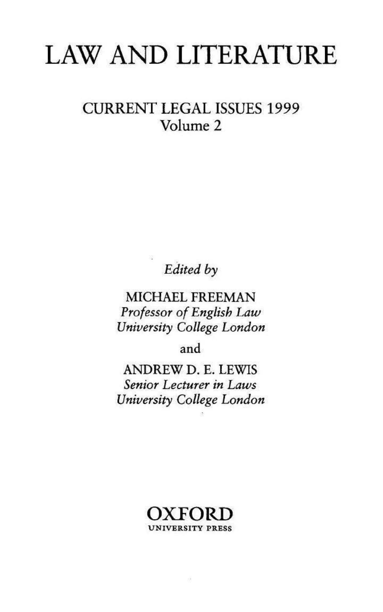# **LAW AND LITERATURE**

### CURRENT LEGAL ISSUES 1999 Volume 2

*Edited by* 

MICHAEL FREEMAN *Professor of English Law University College London* 

and

ANDREWD. E. LEWIS *Senior Lecturer in Laws University College London* 

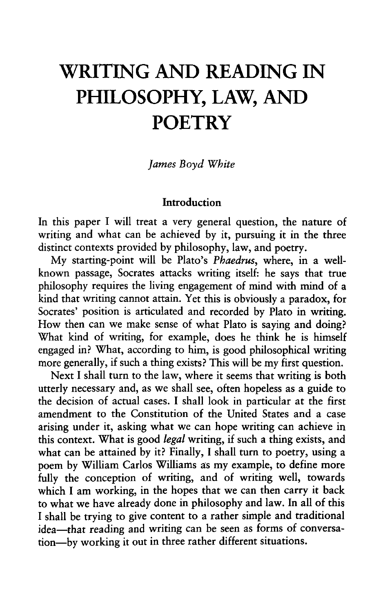# **WRITING AND READING IN PHILOSOPHY, LAW, AND POETRY**

*James Boyd White* 

#### **Introduction**

In this paper I will treat a very general question, the nature of writing and what can be achieved by it, pursuing it in the three distinct contexts provided by philosophy, law, and poetry.

My starting-point will be Plato's *Phaedrus,* where, in a wellknown passage, Socrates attacks writing itself: he says that true philosophy requires the living engagement of mind with mind of a kind that writing cannot attain. Yet this is obviously a paradox, for Socrates' position is articulated and recorded by Plato in writing. How then can we make sense of what Plato is saying and doing? What kind of writing, for example, does he think he is himself engaged in? What, according to him, is good philosophical writing more generally, if such a thing exists? This will be my first question.

Next I shall turn to the law, where it seems that writing is both utterly necessary and, as we shall see, often hopeless as a guide to the decision of actual cases. I shall look in particular at the first amendment to the Constitution of the United States and a case arising under it, asking what we can hope writing can achieve in this context. What is good *legal* writing, if such a thing exists, and what can be attained by it? Finally, I shall turn to poetry, using a poem by William Carlos Williams as my example, to define more fully the conception of writing, and of writing well, towards which I am working, in the hopes that we can then carry it back to what we have already done in philosophy and law. In all of this I shall be trying to give content to a rather simple and traditional idea-that reading and writing can be seen as forms of conversation-by working it out in three rather different situations.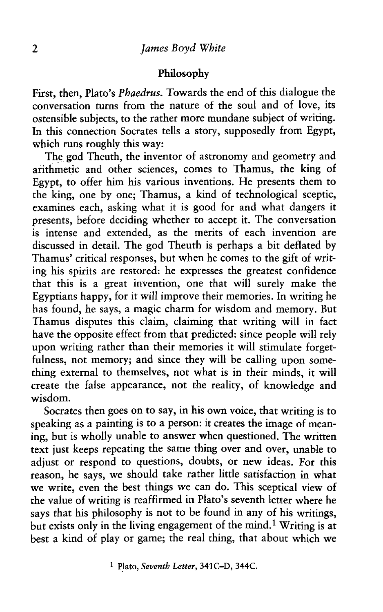#### **Philosophy**

First, then, Plato's *Phaedrus.* Towards the end of this dialogue the conversation turns from the nature of the soul and of love, its ostensible subjects, to the rather more mundane subject of writing. In this connection Socrates tells a story, supposedly from Egypt, which runs roughly this way:

The god Theuth, the inventor of astronomy and geometry and arithmetic and other sciences, comes to Thamus, the king of Egypt, to offer him his various inventions. He presents them to the king, one by one; Thamus, a kind of technological sceptic, examines each, asking what it is good for and what dangers it presents, before deciding whether to accept it. The conversation is intense and extended, as the merits of each invention are discussed in detail. The god Theuth is perhaps a bit deflated by Thamus' critical responses, but when he comes to the gift of writing his spirits are restored: he expresses the greatest confidence that this is a great invention, one that will surely make the Egyptians happy, for it will improve their memories. In writing he has found, he says, a magic charm for wisdom and memory. But Thamus disputes this claim, claiming that writing will in fact have the opposite effect from that predicted: since people will rely upon writing rather than their memories it will stimulate forgetfulness, not memory; and since they will be calling upon something external to themselves, not what is in their minds, it will create the false appearance, not the reality, of knowledge and wisdom.

Socrates then goes on to say, in his own voice, that writing is to speaking as a painting is to a person: it creates the image of meaning, but is wholly unable to answer when questioned. The written text just keeps repeating the same thing over and over, unable to adjust or respond to questions, doubts, or new ideas. For this reason, he says, we should take rather little satisfaction in what we write, even the best things we can do. This sceptical view of the value of writing is reaffirmed **in** Plato's seventh letter where he says that his philosophy is not to be found in any of his writings, but exists only in the living engagement of the mind.<sup>1</sup> Writing is at best a kind of play or game; the real thing, that about which we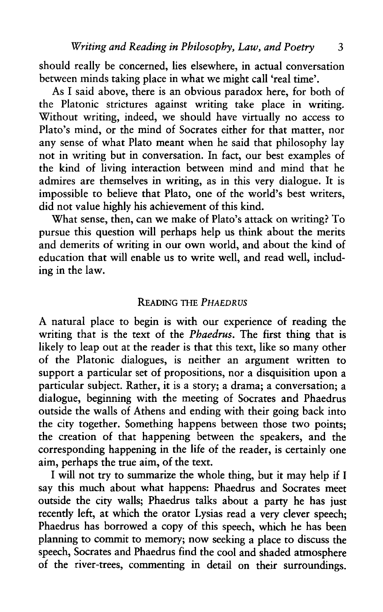should really be concerned, lies elsewhere, in actual conversation between minds taking place in what we might call 'real time'.

As I said above, there is an obvious paradox here, for both of the Platonic strictures against writing take place in writing. Without writing, indeed, we should have virtually no access to Plato's mind, or the mind of Socrates either for that matter, nor any sense of what Plato meant when he said that philosophy lay not in writing but in conversation. In fact, our best examples of the kind of living interaction between mind and mind that he admires are themselves in writing, as in this very dialogue. It is impossible to believe that Plato, one of the world's best writers, did not value highly his achievement of this kind.

What sense, then, can we make of Plato's attack on writing? To pursue this question will perhaps help us think about the merits and demerits of writing in our own world, and about the kind of education that will enable us to write well, and read well, including in the law.

#### READING THE *PHAEDRUS*

A natural place to begin is with our experience of reading the writing that is the text of the *Phaedrus.* The first thing that is likely to leap out at the reader is that this text, like so many other of the Platonic dialogues, is neither an argument written to support a particular set of propositions, nor a disquisition upon a particular subject. Rather, it is a story; a drama; a conversation; a dialogue, beginning with the meeting of Socrates and Phaedrus outside the walls of Athens and ending with their going back into the city together. Something happens between those two points; the creation of that happening between the speakers, and the corresponding happening in the life of the reader, is certainly one aim, perhaps the true aim, of the text.

I will not try to summarize the whole thing, but it may help if I say this much about what happens: Phaedrus and Socrates meet outside the city walls; Phaedrus talks about a party he has just recently left, at which the orator Lysias read a very clever speech; Phaedrus has borrowed a copy of this speech, which he has been planning to commit to memory; now seeking a place to discuss the speech, Socrates and Phaedrus find the cool and shaded atmosphere of the river-trees, commenting in detail on their surroundings.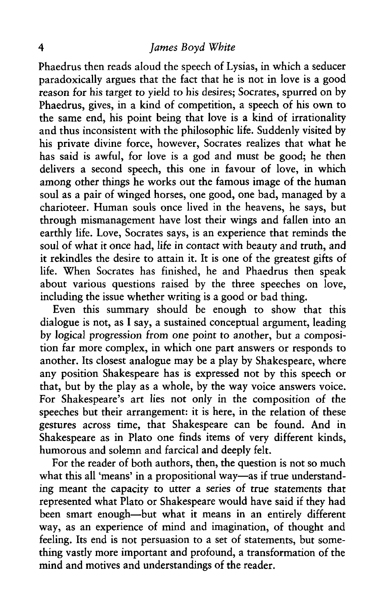Phaedrus then reads aloud the speech of Lysias, in which a seducer paradoxically argues that the fact that he is not in love is a good reason for his target to yield to his desires; Socrates, spurred on by Phaedrus, gives, in a kind of competition, a speech of his own to the same end, his point being that love is a kind of irrationality and thus inconsistent with the philosophic life. Suddenly visited by his private divine force, however, Socrates realizes that what he has said is awful, for love is a god and must be good; he then delivers a second speech, this one in favour of love, in which among other things he works out the famous image of the human soul as a pair of winged horses, one good, one bad, managed by a charioteer. Human souls once lived in the heavens, he says, but through mismanagement have lost their wings and fallen into an earthly life. Love, Socrates says, is an experience that reminds the soul of what it once had, life in contact with beauty and truth, and it rekindles the desire to attain it. It is one of the greatest gifts of life. When Socrates has finished, he and Phaedrus then speak about various questions raised by the three speeches on love, including the issue whether writing is a good or bad thing.

Even this summary should be enough to show that this dialogue is not, as I say, a sustained conceptual argument, leading by logical progression from one point to another, but a composition far more complex, in which one part answers or responds to another. Its closest analogue may be a play by Shakespeare, where any position Shakespeare has is expressed not by this speech or that, but by the play as a whole, by the way voice answers voice. For Shakespeare's art lies not only in the composition of the speeches but their arrangement: it is here, in the relation of these gestures across time, that Shakespeare can be found. And in Shakespeare as in Plato one finds items of very different kinds, humorous and solemn and farcical and deeply felt.

For the reader of both authors, then, the question is not so much what this all 'means' in a propositional way-as if true understanding meant the capacity to utter a series of true statements that represented what Plato or Shakespeare would have said if they had been smart enough-but what it means in an entirely different way, as an experience of mind and imagination, of thought and feeling. Its end is not persuasion to a set of statements, but something vastly more important and profound, a transformation of the mind and motives and understandings of the reader.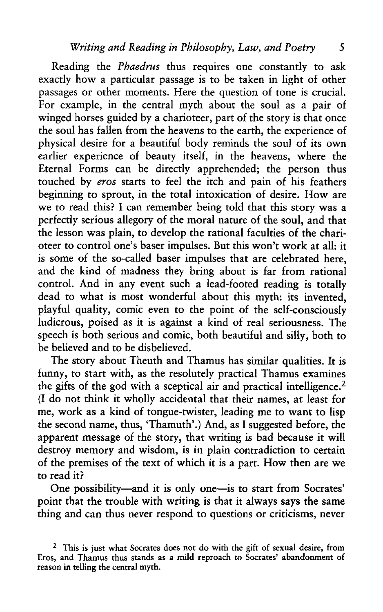Reading the *Phaedrus* thus requires one constantly to ask exactly how a particular passage is to be taken in light of other passages or other moments. Here the question of tone is crucial. For example, in the central myth about the soul as a pair of winged horses guided by a charioteer, part of the story is that once the soul has fallen from the heavens to the earth, the experience of physical desire for a beautiful body reminds the soul of its own earlier experience of beauty itself, in the heavens, where the Eternal Forms can be directly apprehended; the person thus touched by *eras* starts to feel the itch and pain of his feathers beginning to sprout, in the total intoxication of desire. How are we to read this? I can remember being told that this story was a perfectly serious allegory of the moral nature of the soul, and that the lesson was plain, to develop the rational faculties of the charioteer to control one's baser impulses. But this won't work at all: it is some of the so-called baser impulses that are celebrated here, and the kind of madness they bring about is far from rational control. And in any event such a lead-footed reading is totally dead to what is most wonderful about this myth: its invented, playful quality, comic even to the point of the self-consciously ludicrous, poised as it is against a kind of real seriousness. The speech is both serious and comic, both beautiful and silly, both to be believed and to be disbelieved.

The story about Theuth and Thamus has similar qualities. It is funny, to start with, as the resolutely practical Thamus examines the gifts of the god with a sceptical air and practical intelligence.<sup>2</sup> (I do not think it wholly accidental that their names, at least for me, work as a kind of tongue-twister, leading me to want to lisp the second name, thus, 'Thamuth'.) And, as I suggested before, the apparent message of the story, that writing is bad because it will destroy memory and wisdom, is in plain contradiction to certain of the premises of the text of which it is a part. How then are we to read it?

One possibility-and it is only one-is to start from Socrates' point that the trouble with writing is that it always says the same thing and can thus never respond to questions or criticisms, never

<sup>&</sup>lt;sup>2</sup> This is just what Socrates does not do with the gift of sexual desire, from Eros, and Thamus thus stands as a mild reproach to Socrates' abandonment of reason in telling the central myth.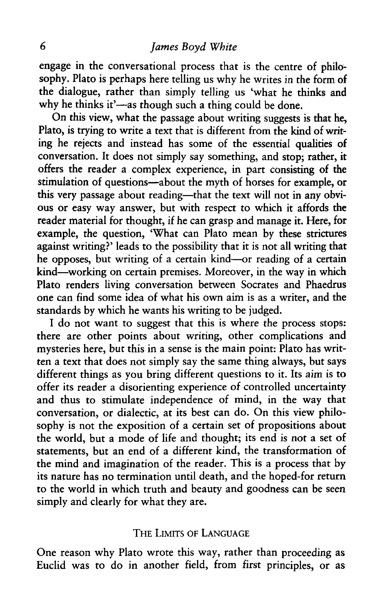engage in the conversational process that is the centre of philosophy. Plato is perhaps here telling us why he writes in the form of the dialogue, rather than simply telling us 'what he thinks and why he thinks it'—as though such a thing could be done.

On this view, what the passage about writing suggests is that he, Plato, is trying to write a text that is different from the kind of writing he rejects and instead has some of the essential qualities of conversation. It does not simply say something, and stop; rather, it offers the reader a complex experience, in part consisting of the stimulation of questions-about the myth of horses for example, or this very passage about reading-that the text will not in any obvious or easy way answer, but with respect to which it affords the reader material for thought, if he can grasp and manage it. Here, for example, the question, 'What can Plato mean by these strictures against writing?' leads to the possibility that it is not all writing that he opposes, but writing of a certain kind-or reading of a certain kind-working on certain premises. Moreover, in the way in which Plato renders living conversation between Socrates and Phaedrus one can find some idea of what his own aim is as a writer, and the standards by which he wants his writing to be judged.

I do not want to suggest that this is where the process stops: there are other points about writing, other complications and mysteries here, but this in a sense is the main point: Plato has written a text that does not simply say the same thing always, but says different things as you bring different questions to it. Its aim is to offer its reader a disorienting experience of controlled uncertainty and thus to stimulate independence of mind, in the way that conversation, or dialectic, at its best can do. On this view philosophy is not the exposition of a certain set of propositions about the world, but a mode of life and thought; its end *is* not a set of statements, but an end of a different kind, the transformation of the mind and imagination of the reader. This is a process that by its nature has no termination until death, and the hoped-for return to the world in which truth and beauty and goodness can be seen simply and clearly for what they are.

#### THE LIMITS OF LANGUAGE

One reason why Plato wrote this way, rather than proceeding as Euclid was to do in another field, from first principles, or as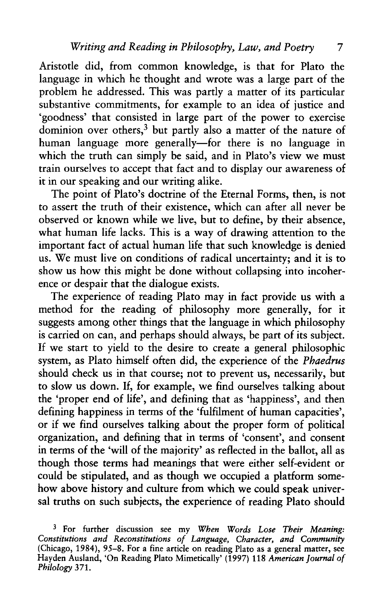Aristotle did, from common knowledge, is that for Plato the language in which he thought and wrote was a large part of the problem he addressed. This was partly a matter of its particular substantive commitments, for example to an idea of justice and 'goodness' that consisted in large part of the power to exercise dominion over others,<sup>3</sup> but partly also a matter of the nature of human language more generally—for there is no language in which the truth can simply be said, and in Plato's view we must train ourselves to accept that fact and to display our awareness of it in our speaking and our writing alike.

The point of Plato's doctrine of the Eternal Forms, then, is not to assert the truth of their existence, which can after all never be observed or known while we live, but to define, by their absence, what human life lacks. This is a way of drawing attention to the important fact of actual human life that such knowledge is denied us. We must live on conditions of radical uncertainty; and it is to show us how this might be done without collapsing into incoherence or despair that the dialogue exists.

The experience of reading Plato may in fact provide us with a method for the reading of philosophy more generally, for it suggests among other things that the language in which philosophy is carried on can, and perhaps should always, be part of its subject. If we start to yield to the desire to create a general philosophic system, as Plato himself often did, the experience of the *Phaedrus*  should check us in that course; not to prevent us, necessarily, but to slow us down. If, for example, we find ourselves talking about the 'proper end of life', and defining that as 'happiness', and then defining happiness in terms of the 'fulfilment of human capacities', or if we find ourselves talking about the proper form of political organization, and defining that in terms of 'consent', and consent in terms of the 'will of the majority' as reflected in the ballot, all as though those terms had meanings that were either self-evident or could be stipulated, and as though we occupied a platform somehow above history and culture from which we could speak universal truths on such subjects, the experience of reading Plato should

<sup>3</sup>For further discussion see my *When Words Lose Their Meaning: Constitutions and Reconstitutions of Language, Character, and Community*  (Chicago, 1984), 95-8. For a fine article on reading Plato as a general matter, see Hayden Ausland, 'On Reading Plato Mimetically' (1997) 118 *American Journal* of *Philology* 371.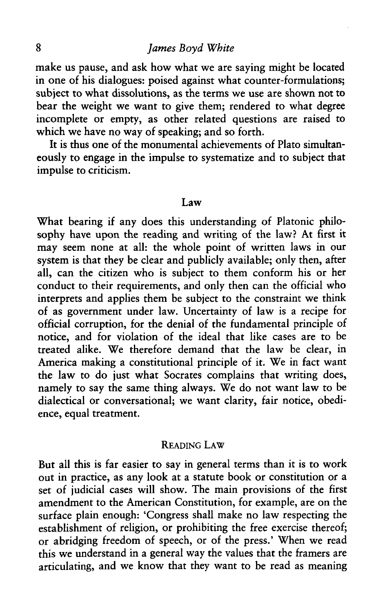make us pause, and ask how what we are saying might be located in one of his dialogues: poised against what counter-formulations; subject to what dissolutions, as the terms we use are shown not to bear the weight we want to give them; rendered to what degree incomplete or empty, as other related questions are raised to which we have no way of speaking; and so forth.

It is thus one of the monumental achievements of Plato simultaneously to engage in the impulse to systematize and to subject that impulse to criticism.

#### **Law**

What bearing if any does this understanding of Platonic philosophy have upon the reading and writing of the law? At first it may seem none at all: the whole point of written laws in our system is that they be clear and publicly available; only then, after all, can the citizen who is subject to them conform his or her conduct to their requirements, and only then can the official who interprets and applies them be subject to the constraint we think of as government under law. Uncertainty of law is a recipe for official corruption, for the denial of the fundamental principle of notice, and for violation of the ideal that like cases are to be treated alike. We therefore demand that the law be clear, in America making a constitutional principle of it. We in fact want the law to do just what Socrates complains that writing does, namely to say the same thing always. We do not want law to be dialectical or conversational; we want clarity, fair notice, obedience, equal treatment.

#### READING LAW

But all this is far easier to say in general terms than it is to work out in practice, as any look at a statute book or constitution or a set of judicial cases will show. The main provisions of the first amendment to the American Constitution, for example, are on the surface plain enough: 'Congress shall make no law respecting the establishment of religion, or prohibiting the free exercise thereof; or abridging freedom of speech, or of the press.' When we read this we understand in a general way the values that the framers are articulating, and we know that they want to be read as meaning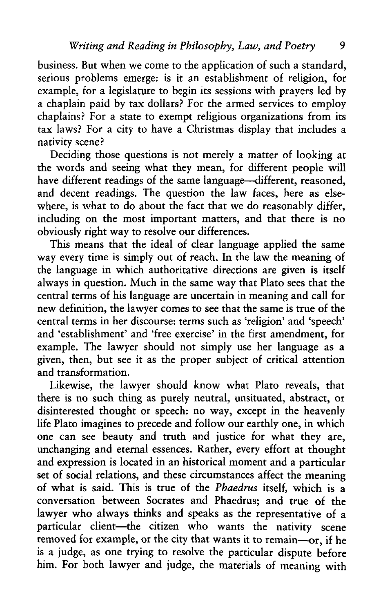business. But when we come to the application of such a standard, serious problems emerge: is it an establishment of religion, for example, for a legislature to begin its sessions with prayers led by a chaplain paid by tax dollars? For the armed services to employ chaplains? For a state to exempt religious organizations from its tax laws? For a city to have a Christmas display that includes a nativity scene?

Deciding those questions is not merely a matter of looking at the words and seeing what they mean, for different people will have different readings of the same language—different, reasoned, and decent readings. The question the law faces, here as elsewhere, is what to do about the fact that we do reasonably differ, including on the most important matters, and that there is no obviously right way to resolve our differences.

This means that the ideal of clear language applied the same way every time is simply out of reach. In the law the meaning of the language in which authoritative directions are given is itself always in question. Much in the same way that Plato sees that the central terms of his language are uncertain in meaning and call for new definition, the lawyer comes to see that the same is true of the central terms in her discourse: terms such as 'religion' and 'speech' and 'establishment' and 'free exercise' in the first amendment, for example. The lawyer should not simply use her language as a given, then, but see it as the proper subject of critical attention and transformation.

Likewise, the lawyer should know what Plato reveals, that there is no such thing as purely neutral, unsituated, abstract, or disinterested thought or speech: no way, except in the heavenly life Plato imagines to precede and follow our earthly one, in which one can see beauty and truth and justice for what they are, unchanging and eternal essences. Rather, every effort at thought and expression is located in an historical moment and a particular set of social relations, and these circumstances affect the meaning of what is said. This is true of the *Phaedrus* itself, which is a conversation between Socrates and Phaedrus; and true of the lawyer who always thinks and speaks as the representative of a particular client-the citizen who wants the nativity scene removed for example, or the city that wants it to remain-or, if he is a judge, as one trying to resolve the particular dispute before him. For both lawyer and judge, the materials of meaning with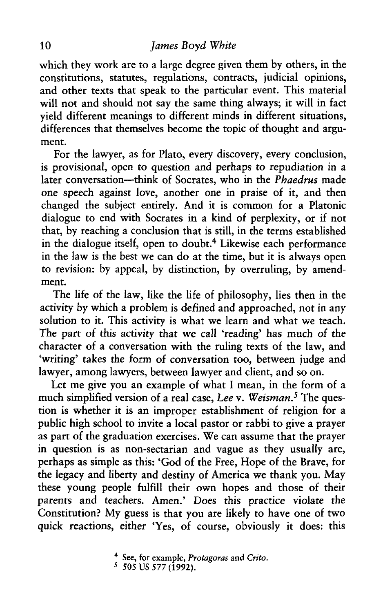which they work are to a large degree given them by others, in the constitutions, statutes, regulations, contracts, judicial opinions, and other texts that speak to the particular event. This material will not and should not say the same thing always; it will in fact yield different meanings to different minds in different situations, differences that themselves become the topic of thought and argument.

For the lawyer, as for Plato, every discovery, every conclusion, is provisional, open to question and perhaps to repudiation in a later conversation-think of Socrates, who in the *Phaedrus* made one speech against love, another one in praise of it, and then changed the subject entirely. And it is common for a Platonic dialogue to end with Socrates in a kind of perplexity, or if not that, by reaching a conclusion that is still, in the terms established in the dialogue itself, open to doubt.<sup>4</sup> Likewise each performance in the law is the best we can do at the time, but it is always open to revision: by appeal, by distinction, by overruling, by amendment.

The life of the law, like the life of philosophy, lies then in the activity by which a problem is defined and approached, not in any solution to it. This activity is what we learn and what we teach. The part of this activity that we call 'reading' has much of the character of a conversation with the ruling texts of the law, and 'writing' takes the form of conversation too, between judge and lawyer, among lawyers, between lawyer and client, and so on.

Let me give you an example of what I mean, in the form of a much simplified version of a real case, *Lee* v. *Weisman.* 5 The question is whether it is an improper establishment of religion for a public high school to invite a local pastor or rabbi to give a prayer as part of the graduation exercises. We can assume that the prayer in question is as non-sectarian and vague as they usually are, perhaps as simple as this: 'God of the Free, Hope of the Brave, for the legacy and liberty and destiny of America we thank you. May these young people fulfill their own hopes and those of their parents and teachers. Amen.' Does this practice violate the Constitution? My guess is that you are likely to have one of two quick reactions, either 'Yes, of course, obviously it does: this

<sup>4</sup>See, for example, *Protagoras* and *Crito. 5* 505 us 577 (1992).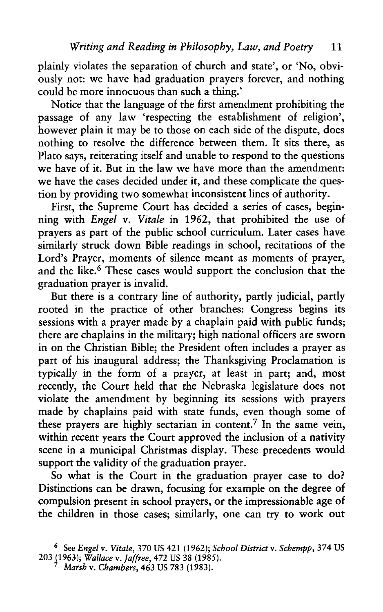plainly violates the separation of church and state', or 'No, obviously not: we have had graduation prayers forever, and nothing could be more innocuous than such a thing.'

Notice that the language of the first amendment prohibiting the passage of any law 'respecting the establishment of religion', however plain it may be to those on each side of the dispute, does nothing to resolve the difference between them. It sits there, as Plato says, reiterating itself and unable to respond to the questions we have of it. But in the law we have more than the amendment: we have the cases decided under it, and these complicate the question by providing two somewhat inconsistent lines of authority.

First, the Supreme Court has decided a series of cases, beginning with *Engel* v. *Vitale* in 1962, that prohibited the use of prayers as part of the public school curriculum. Later cases have similarly struck down Bible readings in school, recitations of the Lord's Prayer, moments of silence meant as moments of prayer, and the like. $6$  These cases would support the conclusion that the graduation prayer is invalid.

But there is a contrary line of authority, partly judicial, partly rooted in the practice of other branches: Congress begins its sessions with a prayer made by a chaplain paid with public funds; there are chaplains in the military; high national officers are sworn in on the Christian Bible; the President often includes a prayer as part of his inaugural address; the Thanksgiving Proclamation is typically in the form of a prayer, at least in part; and, most recently, the Court held that the Nebraska legislature does not violate the amendment by beginning its sessions with prayers made by chaplains paid with state funds, even though some of these prayers are highly sectarian in content.7 In the same vein, within recent years the Court approved the inclusion of a nativity scene in a municipal Christmas display. These precedents would support the validity of the graduation prayer.

So what is the Court in the graduation prayer case to do? Distinctions can be drawn, focusing for example on the degree of compulsion present in school prayers, or the impressionable age of the children in those cases; similarly, one can try to work out

<sup>6</sup>See *Engel* v. *Vitale,* 370 US 421 (1962); *School District* v. *Schempp,* 374 US

<sup>203 (1963);</sup> *Wallace* v. *Jaffree,* 472 US 38 (1985). <sup>7</sup>*Marsh* v. *Chambers,* 463 US 783 (1983).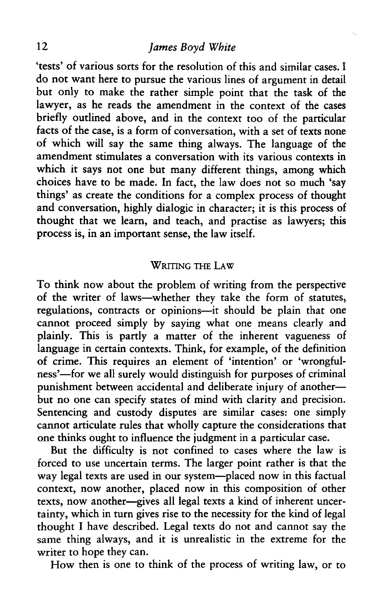'tests' of various sorts for the resolution of this and similar cases. I do not want here to pursue the various lines of argument in detail but only to make the rather simple point that the task of the lawyer, as he reads the amendment in the context of the cases briefly outlined above, and in the context too of the particular facts of the case, is a form of conversation, with a set of texts none of which will say the same thing always. The language of the amendment stimulates a conversation with its various contexts in which it says not one but many different things, among which choices have to be made. In fact, the law does not so much 'say things' as create the conditions for a complex process of thought and conversation, highly dialogic in character; it is this process of thought that we learn, and teach, and practise as lawyers; this process is, in an important sense, the law itself.

#### WRITING THE LAW

To think now about the problem of writing from the perspective of the writer of laws-whether they take the form of statutes, regulations, contracts or opinions-it should be plain that one cannot proceed simply by saying what one means clearly and plainly. This is partly a matter of the inherent vagueness of language in certain contexts. Think, for example, of the definition of crime. This requires an element of 'intention' or 'wrongfulness'—for we all surely would distinguish for purposes of criminal punishment between accidental and deliberate injury of anotherbut no one can specify states of mind with clarity and precision. Sentencing and custody disputes are similar cases: one simply cannot articulate rules that wholly capture the considerations that one thinks ought to influence the judgment in a particular case.

But the difficulty is not confined to cases where the law is forced to use uncertain terms. The larger point rather is that the way legal texts are used in our system-placed now in this factual context, now another, placed now in this composition of other texts, now another-gives all legal texts a kind of inherent uncertainty, which in turn gives rise to the necessity for the kind of legal thought I have described. Legal texts do not and cannot say the same thing always, and it is unrealistic in the extreme for the writer to hope they can.

How then is one to think of the process of writing law, or to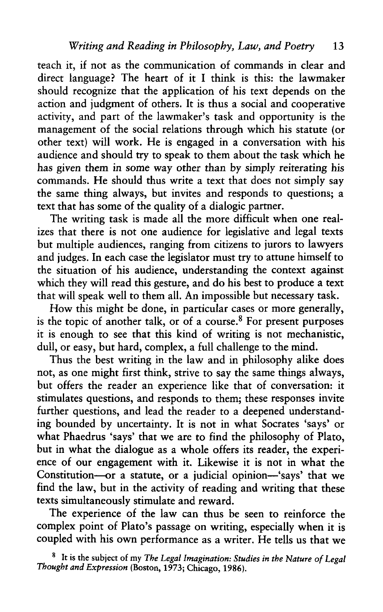teach it, if not as the communication of commands in clear and direct language? The heart of it I think is this: the lawmaker should recognize that the application of his text depends on the action and judgment of others. It is thus a social and cooperative activity, and part of the lawmaker's task and opportunity is the management of the social relations through which his statute (or other text) will work. He is engaged in a conversation with his audience and should try to speak to them about the task which he has given them in some way other than by simply reiterating his commands. He should thus write a text that does not simply say the same thing always, but invites and responds to questions; a text that has some of the quality of a dialogic partner.

The writing task is made all the more difficult when one realizes that there is not one audience for legislative and legal texts but multiple audiences, ranging from citizens to jurors to lawyers and judges. In each case the legislator must try to attune himself to the situation of his audience, understanding the context against which they will read this gesture, and do his best to produce a text that will speak well to them all. An impossible but necessary task.

How this might be done, in particular cases or more generally, is the topic of another talk, or of a course.<sup>8</sup> For present purposes it is enough to see that this kind of writing is not mechanistic, dull, or easy, but hard, complex, a full challenge to the mind.

Thus the best writing in the law and in philosophy alike does not, as one might first think, strive to say the same things always, but offers the reader an experience like that of conversation: it stimulates questions, and responds to them; these responses invite further questions, and lead the reader to a deepened understanding bounded by uncertainty. It is not in what Socrates 'says' or what Phaedrus 'says' that we are to find the philosophy of Plato, but in what the dialogue as a whole offers its reader, the experience of our engagement with it. Likewise it is not in what the Constitution-or a statute, or a judicial opinion-'says' that we find the law, but in the activity of reading and writing that these texts simultaneously stimulate and reward.

The experience of the law can thus be seen to reinforce the complex point of Plato's passage on writing, especially when it is coupled with his own performance as a writer. He tells us that we

8 It is the subject of my *The Legal Imagination: Studies in the Nature of Legal Thought and Expression* (Boston, 1973; Chicago, 1986).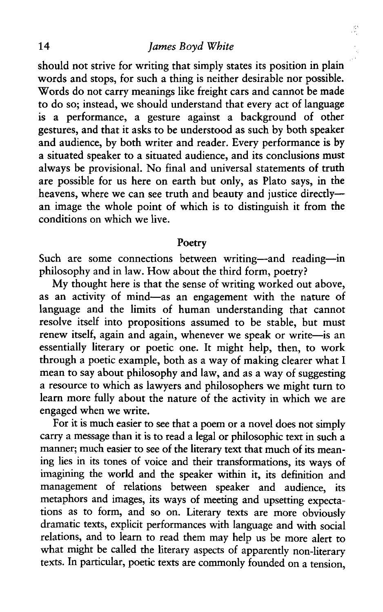should not strive for writing that simply states its position in plain words and stops, for such a thing is neither desirable nor possible. Words do not carry meanings like freight cars and cannot be made to do so; instead, we should understand that every act of language is a performance, a gesture against a background of other gestures, and that it asks to be understood as such by both speaker and audience, by both writer and reader. Every performance is by a situated speaker to a situated audience, and its conclusions must always be provisional. No final and universal statements of truth are possible for us here on earth but only, as Plato says, in the heavens, where we can see truth and beauty and justice directlyan image the whole point of which is to distinguish it from the conditions on which we live.

#### Poetry

Such are some connections between writing-and reading-in philosophy and in law. How about the third form, poetry?

My thought here is that the sense of writing worked out above, as an activity of mind-as an engagement with the nature of language and the limits of human understanding that cannot resolve itself into propositions assumed to be stable, but must renew itself, again and again, whenever we speak or write-is an essentially literary or poetic one. It might help, then, to work through a poetic example, both as a way of making clearer what I mean to say about philosophy and law, and as a way of suggesting a resource to which as lawyers and philosophers we might turn to learn more fully about the nature of the activity in which we are engaged when we write.

For it is much easier to see that a poem or a novel does not simply carry a message than it is to read a legal or philosophic text in such a manner; much easier to see of the literary text that much of its meaning lies in its tones of voice and their transformations, its ways of imagining the world and the speaker within it, its definition and management of relations between speaker and audience, its metaphors and images, its ways of meeting and upsetting expectations as to form, and so on. Literary texts are more obviously dramatic texts, explicit performances with language and with social relations, and to learn to read them may help us be more alert to what might be called the literary aspects of apparently non-literary texts. In particular, poetic texts are commonly founded on a tension,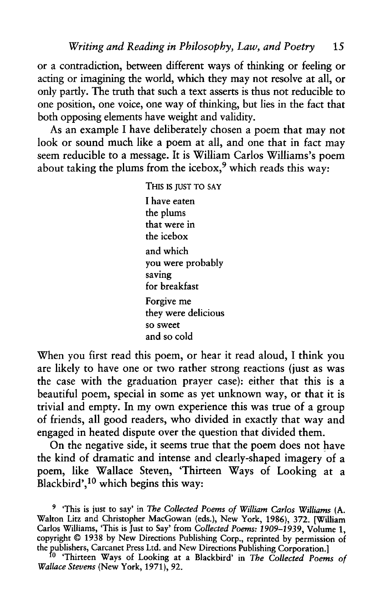*Writing and Reading in Philosophy, Law, and Poetry* 15

or a contradiction, between different ways of thinking or feeling or acting or imagining the world, which they may not resolve at all, or only partly. The truth that such a text asserts is thus not reducible to one position, one voice, one way of thinking, but lies in the fact that both opposing elements have weight and validity.

As an example I have deliberately chosen a poem that may not look or sound much like a poem at all, and one that in fact may seem reducible to a message. It is William Carlos Williams's poem about taking the plums from the icebox,<sup>9</sup> which reads this way:

> THIS IS JUST TO SAY I have eaten the plums that were in the icebox and which you were probably saving for breakfast Forgive me they were delicious so sweet and so cold

When you first read this poem, or hear it read aloud, I think you are likely to have one or two rather strong reactions (just as was the case with the graduation prayer case): either that this is a beautiful poem, special in some as yet unknown way, or that it is trivial and empty. In my own experience this was true of a group of friends, all good readers, who divided in exactly that way and engaged in heated dispute over the question that divided them.

On the negative side, it seems true that the poem does not have the kind of dramatic and intense and clearly-shaped imagery of a poem, like Wallace Steven, 'Thirteen Ways of Looking at a Blackbird',<sup>10</sup> which begins this wav:

<sup>9</sup>'This is just to say' in *The Collected Poems of William Carlos Williams* (A. Walton Litz and Christopher MacGowan (eds.), New York, 1986), 372. [William Carlos Williams, 'This is Just to Say' from *Collected Poems: 1909-1939,* Volume 1, copyright © 1938 by New Directions Publishing Corp., reprinted by permission of the publishers, Carcanet Press Ltd. and New Directions Publishing Corporation.]

<sup>f0</sup> 'Thirteen Ways of Looking at a Blackbird' in *The Collected Poems of Wallace Stevens* (New York, 1971), 92.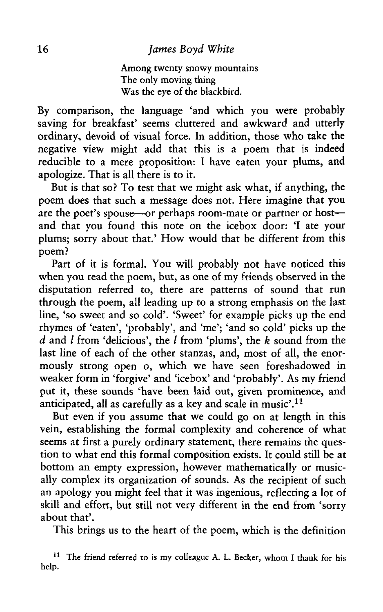Among twenty snowy mountains The only moving thing Was the eye of the blackbird.

By comparison, the language 'and which you were probably saving for breakfast' seems cluttered and awkward and utterly ordinary, devoid of visual force. In addition, those who take the negative view might add that this is a poem that is indeed reducible to a mere proposition: I have eaten your plums, and apologize. That is all there is to it.

But is that so? To test that we might ask what, if anything, the poem does that such a message does not. Here imagine that you are the poet's spouse—or perhaps room-mate or partner or host and that you found this note on the icebox door: 'I ate your plums; sorry about that.' How would that be different from this poem?

Part of it is formal. You will probably not have noticed this when you read the poem, but, as one of my friends observed in the disputation referred to, there are patterns of sound that run through the poem, all leading up to a strong emphasis on the last line, 'so sweet and so cold'. 'Sweet' for example picks up the end rhymes of 'eaten', 'probably', and 'me'; 'and so cold' picks up the  $d$  and  $l$  from 'delicious', the  $l$  from 'plums', the  $k$  sound from the last line of each of the other stanzas, and, most of all, the enormously strong open o, which we have seen foreshadowed in weaker form in 'forgive' and 'icebox' and 'probably'. As my friend put it, these sounds 'have been laid out, given prominence, and anticipated, all as carefully as a key and scale in music'. $^{11}$ 

But even if you assume that we could go on at length in this vein, establishing the formal complexity and coherence of what seems at first a purely ordinary statement, there remains the question to what end this formal composition exists. It could still be at bottom an empty expression, however mathematically or musically complex its organization of sounds. As the recipient of such an apology you might feel that it was ingenious, reflecting a lot of skill and effort, but still not very different in the end from 'sorry about that'.

This brings us to the heart of the poem, which is the definition

 $11$  The friend referred to is my colleague A. L. Becker, whom I thank for his help.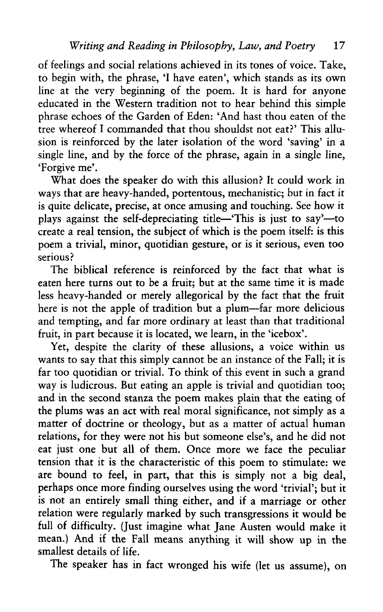of feelings and social relations achieved in its tones of voice. Take, to begin with, the phrase, 'I have eaten', which stands as its own line at the very beginning of the poem. It is hard for anyone educated in the Western tradition not to hear behind this simple phrase echoes of the Garden of Eden: 'And hast thou eaten of the tree whereof I commanded that thou shouldst not eat?' This allusion is reinforced by the later isolation of the word 'saving' in a single line, and by the force of the phrase, again in a single line, 'Forgive me'.

What does the speaker do with this allusion? It could work in ways that are heavy-handed, portentous, mechanistic; but in fact it is quite delicate, precise, at once amusing and touching. See how it plays against the self-depreciating title-'This is just to say'-to create a real tension, the subject of which is the poem itself: is this poem a trivial, minor, quotidian gesture, or is it serious, even too serious?

The biblical reference is reinforced by the fact that what is eaten here turns out to be a fruit; but at the same time it is made less heavy-handed or merely allegorical by the fact that the fruit here is not the apple of tradition but a plum-far more delicious and tempting, and far more ordinary at least than that traditional fruit, in part because it is located, we learn, in the 'icebox'.

Yet, despite the clarity of these allusions, a voice within us wants to say that this simply cannot be an instance of the Fall; it is far too quotidian or trivial. To think of this event in such a grand way is ludicrous. But eating an apple is trivial and quotidian too; and in the second stanza the poem makes plain that the eating of the plums was an act with real moral significance, not simply as a matter of doctrine or theology, but as a matter of actual human relations, for they were not his but someone else's, and he did not eat just one but all of them. Once more we face the peculiar tension that it is the characteristic of this poem to stimulate: we are bound to feel, in part, that this is simply not a big deal, perhaps once more finding ourselves using the word 'trivial'; but it is not an entirely small thing either, and if a marriage or other relation were regularly marked by such transgressions it would be full of difficulty. (Just imagine what Jane Austen would make it mean.) And if the Fall means anything it will show up in the smallest details of life.

The speaker has in fact wronged his wife (let us assume), on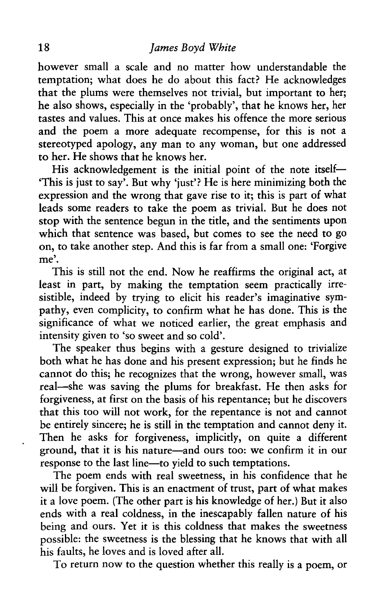however small a scale and no matter how understandable the temptation; what does he do about this fact? He acknowledges that the plums were themselves not trivial, but important to her; he also shows, especially in the 'probably', that he knows her, her tastes and values. This at once makes his offence the more serious and the poem a more adequate recompense, for this is not a stereotyped apology, any man to any woman, but one addressed to her. He shows that he knows her.

His acknowledgement is the initial point of the note itself-'This is just to say'. But why 'just'? He is here minimizing both the expression and the wrong that gave rise to it; this is part of what leads some readers to take the poem as trivial. But he does not stop with the sentence begun in the title, and the sentiments upon which that sentence was based, but comes to see the need to go on, to take another step. And this is far from a small one: 'Forgive me'.

This is still not the end. Now he reaffirms the original act, at least in part, by making the temptation seem practically irresistible, indeed by trying to elicit his reader's imaginative sympathy, even complicity, to confirm what he has done. This is the significance of what we noticed earlier, the great emphasis and intensity given to 'so sweet and so cold'.

The speaker thus begins with a gesture designed to trivialize both what he has done and his present expression; but he finds he cannot do this; he recognizes that the wrong, however small, was real-she was saving the plums for breakfast. He then asks for forgiveness, at first on the basis of his repentance; but he discovers that this too will not work, for the repentance is not and cannot be entirely sincere; he is still in the temptation and cannot deny it. Then he asks for forgiveness, implicitly, on quite a different ground, that it is his nature-and ours too: we confirm it in our response to the last line-to vield to such temptations.

The poem ends with real sweetness, in his confidence that he will be forgiven. This is an enactment of trust, part of what makes it a love poem. (The other part is his knowledge of her.) But it also ends with a real coldness, in the inescapably fallen nature of his being and ours. Yet it is this coldness that makes the sweetness possible: the sweetness is the blessing that he knows that with all his faults, he loves and is loved after all.

To return now to the question whether this really is a poem, or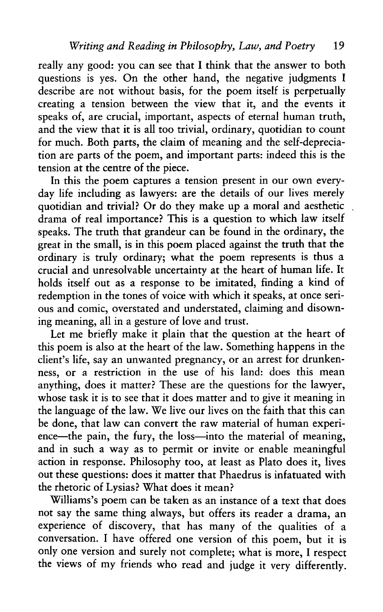really any good: you can see that I think that the answer to both questions is yes. On the other hand, the negative judgments I describe are not without basis, for the poem itself is perpetually creating a tension between the view that it, and the events it speaks of, are crucial, important, aspects of eternal human truth, and the view that it is all too trivial, ordinary, quotidian to count for much. Both parts, the claim of meaning and the self-depreciation are parts of the poem, and important parts: indeed this is the tension at the centre of the piece.

In this the poem captures a tension present in our own everyday life including as lawyers: are the details of our lives merely quotidian and trivial? Or do they make up a moral and aesthetic drama of real importance? This is a question to which law itself speaks. The truth that grandeur can be found in the ordinary, the great in the small, is in this poem placed against the truth that the ordinary is truly ordinary; what the poem represents is thus a crucial and unresolvable uncertainty at the heart of human life. It holds itself out as a response to be imitated, finding a kind of redemption in the tones of voice with which it speaks, at once serious and comic, overstated and understated, claiming and disowning meaning, all in a gesture of love and trust.

Let me briefly make it plain that the question at the heart of this poem is also at the heart of the law. Something happens in the client's life, say an unwanted pregnancy, or an arrest for drunkenness, or a restriction in the use of his land: does this mean anything, does it matter? These are the questions for the lawyer, whose task it is to see that it does matter and to give it meaning in the language of the law. We live our lives on the faith that this can be done, that law can convert the raw material of human experience-the pain, the fury, the loss-into the material of meaning, and in such a way as to permit or invite or enable meaningful action in response. Philosophy too, at least as Plato does it, lives out these questions: does it matter that Phaedrus is infatuated with the rhetoric of Lysias? What does it mean?

Williams's poem can be taken as an instance of a text that does not say the same thing always, but offers its reader a drama, an experience of discovery, that has many of the qualities of a conversation. I have offered one version of this poem, but it is only one version and surely not complete; what is more, I respect the views of my friends who read and judge it very differently.